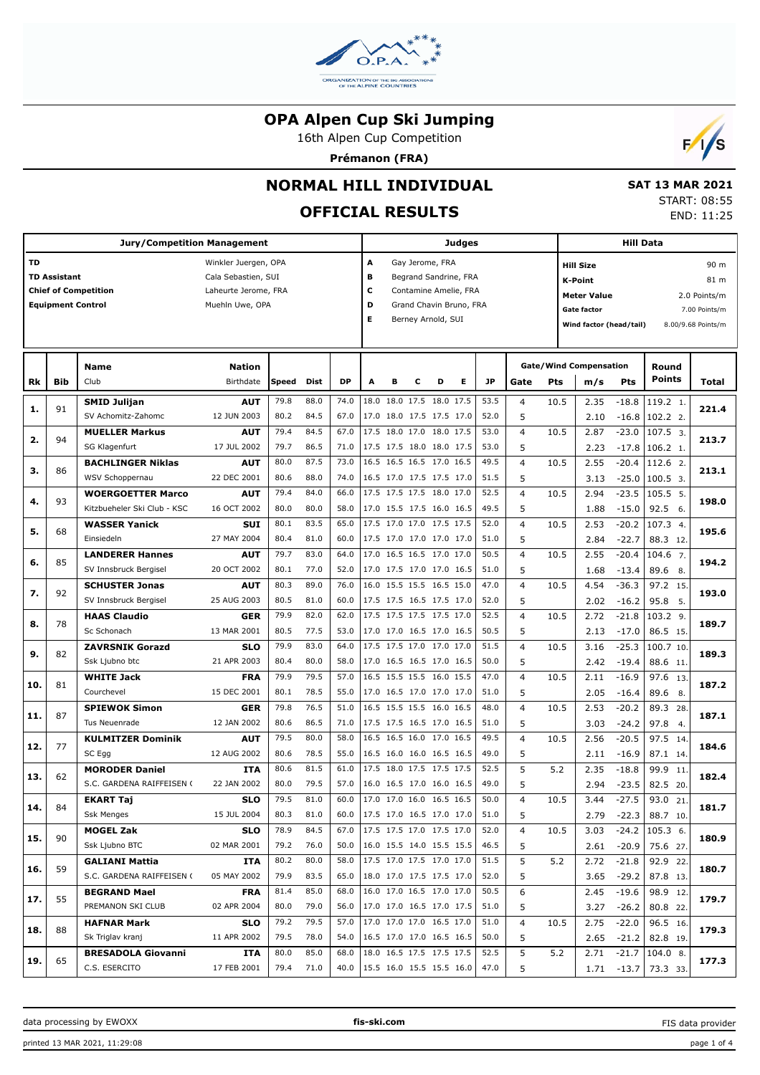

16th Alpen Cup Competition

**Prémanon (FRA)**



## **NORMAL HILL INDIVIDUAL**

# **OFFICIAL RESULTS**

 **SAT 13 MAR 2021** START: 08:55 END: 11:25

| <b>Jury/Competition Management</b> |                                            |                                       |                           |                                                       |              |                                 |                          |   |   |                                                      | Judges |                    |                          | <b>Hill Data</b> |                               |                    |                         |                    |  |  |
|------------------------------------|--------------------------------------------|---------------------------------------|---------------------------|-------------------------------------------------------|--------------|---------------------------------|--------------------------|---|---|------------------------------------------------------|--------|--------------------|--------------------------|------------------|-------------------------------|--------------------|-------------------------|--------------------|--|--|
| TD                                 |                                            |                                       | Winkler Juergen, OPA      |                                                       |              |                                 | А                        |   |   | Gay Jerome, FRA                                      |        |                    | 90 m<br><b>Hill Size</b> |                  |                               |                    |                         |                    |  |  |
|                                    | <b>TD Assistant</b><br>Cala Sebastien, SUI |                                       |                           |                                                       |              |                                 |                          |   |   | Begrand Sandrine, FRA                                |        |                    |                          |                  | <b>K-Point</b><br>81 m        |                    |                         |                    |  |  |
|                                    |                                            | <b>Chief of Competition</b>           | Laheurte Jerome, FRA      | c<br>Contamine Amelie, FRA<br>Grand Chavin Bruno, FRA |              |                                 |                          |   |   |                                                      |        | <b>Meter Value</b> |                          |                  | 2.0 Points/m                  |                    |                         |                    |  |  |
|                                    | <b>Equipment Control</b>                   |                                       | Muehln Uwe, OPA           |                                                       |              |                                 | D<br>Е                   |   |   | Berney Arnold, SUI                                   |        |                    |                          |                  | <b>Gate factor</b>            |                    |                         | 7.00 Points/m      |  |  |
|                                    |                                            |                                       |                           |                                                       |              |                                 |                          |   |   |                                                      |        |                    |                          |                  | Wind factor (head/tail)       |                    |                         | 8.00/9.68 Points/m |  |  |
|                                    |                                            |                                       |                           |                                                       |              |                                 |                          |   |   |                                                      |        |                    |                          |                  |                               |                    |                         |                    |  |  |
|                                    |                                            | Name                                  | <b>Nation</b>             |                                                       |              |                                 |                          |   |   |                                                      |        |                    |                          |                  | <b>Gate/Wind Compensation</b> |                    | Round                   |                    |  |  |
| Rk                                 | <b>Bib</b>                                 | Club                                  | Birthdate                 | Speed                                                 | <b>Dist</b>  | <b>DP</b>                       | A                        | в | с | D                                                    | Е      | <b>JP</b>          | Gate                     | Pts              | m/s                           | Pts                | <b>Points</b>           | Total              |  |  |
| 1.                                 | 91                                         | <b>SMID Julijan</b>                   | <b>AUT</b>                | 79.8                                                  | 88.0         | 74.0                            |                          |   |   | 18.0 18.0 17.5 18.0 17.5                             |        | 53.5               | $\overline{4}$           | 10.5             | 2.35                          | $-18.8$            | 119.2 1.                | 221.4              |  |  |
|                                    |                                            | SV Achomitz-Zahomc                    | 12 JUN 2003               | 80.2                                                  | 84.5         | 67.0                            |                          |   |   | 17.0 18.0 17.5 17.5 17.0                             |        | 52.0               | 5                        |                  | 2.10                          | $-16.8$            | 102.2 2.                |                    |  |  |
| 2.                                 | 94                                         | <b>MUELLER Markus</b>                 | <b>AUT</b>                | 79.4                                                  | 84.5         | 67.0                            |                          |   |   | 17.5 18.0 17.0 18.0 17.5                             |        | 53.0               | $\overline{4}$           | 10.5             | 2.87                          | $-23.0$            | 107.5 3.                | 213.7              |  |  |
|                                    |                                            | SG Klagenfurt                         | 17 JUL 2002               | 79.7                                                  | 86.5         | 71.0                            |                          |   |   | 17.5 17.5 18.0 18.0 17.5                             |        | 53.0               | 5                        |                  | 2.23                          | $-17.8$            | 106.2 1.                |                    |  |  |
| з.                                 | 86                                         | <b>BACHLINGER Niklas</b>              | <b>AUT</b>                | 80.0                                                  | 87.5         | 73.0                            |                          |   |   | 16.5 16.5 16.5 17.0 16.5                             |        | 49.5               | $\overline{4}$           | 10.5             | 2.55                          | $-20.4$            | 112.6 2.                | 213.1              |  |  |
|                                    |                                            | WSV Schoppernau                       | 22 DEC 2001               | 80.6                                                  | 88.0         | 74.0                            |                          |   |   | 16.5 17.0 17.5 17.5 17.0                             |        | 51.5               | 5                        |                  | 3.13                          | $-25.0$            | $100.5$ 3.              |                    |  |  |
| 4.                                 | 93                                         | <b>WOERGOETTER Marco</b>              | <b>AUT</b>                | 79.4                                                  | 84.0         | 66.0                            |                          |   |   | 17.5 17.5 17.5 18.0 17.0                             |        | 52.5               | $\overline{4}$           | 10.5             | 2.94                          | $-23.5$            | 105.5 5.                | 198.0              |  |  |
|                                    |                                            | Kitzbueheler Ski Club - KSC           | 16 OCT 2002               | 80.0                                                  | 80.0         | 58.0                            |                          |   |   | 17.0 15.5 17.5 16.0 16.5                             |        | 49.5               | 5                        |                  | 1.88                          | $-15.0$            | 92.56.                  |                    |  |  |
| 5.                                 | 68                                         | <b>WASSER Yanick</b>                  | <b>SUI</b>                | 80.1                                                  | 83.5         | 65.0                            |                          |   |   | 17.5 17.0 17.0 17.5 17.5                             |        | 52.0               | $\overline{4}$           | 10.5             | 2.53                          | $-20.2$            | 107.3 4.                | 195.6              |  |  |
|                                    | Einsiedeln                                 |                                       | 27 MAY 2004               | 80.4                                                  | 81.0         | 60.0                            |                          |   |   | 17.5 17.0 17.0 17.0 17.0                             |        | 51.0               | 5                        |                  | 2.84                          | $-22.7$            | 88.3 12.                |                    |  |  |
| 6.                                 | <b>LANDERER Hannes</b><br>85               |                                       | <b>AUT</b>                | 79.7                                                  | 83.0         | 64.0                            |                          |   |   | 17.0 16.5 16.5 17.0 17.0                             |        | 50.5               | $\overline{4}$           | 10.5             | 2.55                          | $-20.4$            | 104.6 7.                | 194.2              |  |  |
|                                    |                                            | SV Innsbruck Bergisel                 | 20 OCT 2002               | 80.1                                                  | 77.0         | 52.0                            |                          |   |   | 17.0 17.5 17.0 17.0 16.5                             |        | 51.0               | 5                        |                  | 1.68                          | $-13.4$            | 89.6 8.                 |                    |  |  |
| 7.                                 | 92                                         | <b>SCHUSTER Jonas</b>                 | <b>AUT</b>                | 80.3                                                  | 89.0         | 76.0                            |                          |   |   | 16.0 15.5 15.5 16.5 15.0                             |        | 47.0               | $\overline{4}$           | 10.5             | 4.54                          | $-36.3$            | 97.2 15.                | 193.0              |  |  |
|                                    |                                            | SV Innsbruck Bergisel                 | 25 AUG 2003               | 80.5                                                  | 81.0         | 60.0                            |                          |   |   | 17.5 17.5 16.5 17.5 17.0                             |        | 52.0               | 5                        |                  | 2.02                          | $-16.2$            | 95.8<br>5.              |                    |  |  |
| 8.                                 | 78                                         | <b>HAAS Claudio</b>                   | <b>GER</b>                | 79.9                                                  | 82.0         | 62.0                            |                          |   |   | 17.5 17.5 17.5 17.5 17.0                             |        | 52.5               | $\overline{4}$           | 10.5             | 2.72                          | $-21.8$            | $103.2$ 9.              | 189.7              |  |  |
|                                    |                                            | Sc Schonach<br><b>ZAVRSNIK Gorazd</b> | 13 MAR 2001<br><b>SLO</b> | 80.5<br>79.9                                          | 77.5<br>83.0 | 53.0<br>64.0                    |                          |   |   | 17.0 17.0 16.5 17.0 16.5<br>17.5 17.5 17.0 17.0 17.0 |        | 50.5<br>51.5       | 5<br>$\overline{4}$      | 10.5             | 2.13<br>3.16                  | $-17.0$<br>$-25.3$ | 86.5 15.<br>100.7 10.   |                    |  |  |
| 9.                                 | 82                                         | Ssk Ljubno btc                        | 21 APR 2003               | 80.4                                                  | 80.0         | 58.0                            |                          |   |   | 17.0 16.5 16.5 17.0 16.5                             |        | 50.0               | 5                        |                  | 2.42                          | $-19.4$            | 88.6 11.                | 189.3              |  |  |
|                                    |                                            | <b>WHITE Jack</b>                     | <b>FRA</b>                | 79.9                                                  | 79.5         | 57.0                            |                          |   |   | 16.5 15.5 15.5 16.0 15.5                             |        | 47.0               | $\overline{4}$           | 10.5             | 2.11                          | $-16.9$            | 97.6 13.                |                    |  |  |
| 10.                                | 81                                         | Courchevel                            | 15 DEC 2001               | 80.1                                                  | 78.5         | 55.0                            |                          |   |   | 17.0 16.5 17.0 17.0 17.0                             |        | 51.0               | 5                        |                  | 2.05                          | $-16.4$            | 89.6<br>8.              | 187.2              |  |  |
|                                    |                                            | <b>SPIEWOK Simon</b>                  | <b>GER</b>                | 79.8                                                  | 76.5         | 51.0                            |                          |   |   | 16.5 15.5 15.5 16.0 16.5                             |        | 48.0               | $\overline{4}$           | 10.5             | 2.53                          | $-20.2$            | 89.3 28.                |                    |  |  |
| 11.                                | 87                                         | Tus Neuenrade                         | 12 JAN 2002               | 80.6                                                  | 86.5         | 71.0                            |                          |   |   | 17.5 17.5 16.5 17.0 16.5                             |        | 51.0               | 5                        |                  | 3.03                          | $-24.2$            | 97.8 4.                 | 187.1              |  |  |
|                                    |                                            | <b>KULMITZER Dominik</b>              | <b>AUT</b>                | 79.5                                                  | 80.0         | 58.0                            |                          |   |   | 16.5 16.5 16.0 17.0 16.5                             |        | 49.5               | $\overline{4}$           | 10.5             | 2.56                          | $-20.5$            | 97.5 14.                |                    |  |  |
| 12.                                | 77                                         | SC Egg                                | 12 AUG 2002               | 80.6                                                  | 78.5         | 55.0                            |                          |   |   | 16.5 16.0 16.0 16.5 16.5                             |        | 49.0               | 5                        |                  | 2.11                          | $-16.9$            | 87.1 14.                | 184.6              |  |  |
|                                    |                                            | <b>MORODER Daniel</b>                 | <b>ITA</b>                | 80.6                                                  | 81.5         | 61.0                            |                          |   |   | 17.5 18.0 17.5 17.5 17.5                             |        | 52.5               | 5                        | 5.2              | 2.35                          | $-18.8$            | 99.9<br>11.             |                    |  |  |
| 13.                                | 62                                         | S.C. GARDENA RAIFFEISEN (             | 22 JAN 2002               | 80.0                                                  | 79.5         | 57.0                            |                          |   |   | 16.0 16.5 17.0 16.0 16.5                             |        | 49.0               | 5                        |                  | 2.94                          | $-23.5$            | 82.5 20.                | 182.4              |  |  |
|                                    |                                            | <b>EKART Taj</b>                      | <b>SLO</b>                | 79.5                                                  | 81.0         | 60.0                            |                          |   |   | 17.0 17.0 16.0 16.5 16.5                             |        | 50.0               | $\overline{4}$           | 10.5             | 3.44                          | $-27.5$            | 93.0<br>21.             |                    |  |  |
| 14.                                | 84                                         | <b>Ssk Menges</b>                     | 15 JUL 2004               | 80.3                                                  | 81.0         | 60.0                            | 17.5 17.0 16.5 17.0 17.0 |   |   |                                                      |        | 51.0               | 5                        |                  |                               |                    | $2.79 -22.3   88.7 10.$ | 181.7              |  |  |
|                                    |                                            | <b>MOGEL Zak</b>                      | <b>SLO</b>                | 78.9                                                  | 84.5         | 67.0                            |                          |   |   | 17.5 17.5 17.0 17.5 17.0                             |        | 52.0               | 4                        | 10.5             | 3.03                          | $-24.2$            | $105.3$ 6.              |                    |  |  |
| 15.                                | 90                                         | Ssk Ljubno BTC                        | 02 MAR 2001               | 79.2                                                  | 76.0         | 50.0                            |                          |   |   | 16.0 15.5 14.0 15.5 15.5                             |        | 46.5               | 5                        |                  | 2.61                          | -20.9              | 75.6 27.                | 180.9              |  |  |
|                                    |                                            | <b>GALIANI Mattia</b>                 | ITA                       | 80.2                                                  | 80.0         | 58.0                            |                          |   |   | 17.5 17.0 17.5 17.0 17.0                             |        | 51.5               | 5                        | 5.2              | 2.72                          | $-21.8$            | 92.9 22.                |                    |  |  |
| 16.                                | 59                                         | S.C. GARDENA RAIFFEISEN (             | 05 MAY 2002               | 79.9                                                  | 83.5         | 65.0                            |                          |   |   | 18.0 17.0 17.5 17.5 17.0                             |        | 52.0               | 5                        |                  | 3.65                          | -29.2              | 87.8 13.                | 180.7              |  |  |
|                                    | 55                                         | <b>BEGRAND Mael</b>                   | <b>FRA</b>                | 81.4                                                  | 85.0         | 68.0                            |                          |   |   | 16.0 17.0 16.5 17.0 17.0                             |        | 50.5               | 6                        |                  | 2.45                          | $-19.6$            | 98.9 12.                | 179.7              |  |  |
| 17.                                |                                            | PREMANON SKI CLUB                     | 02 APR 2004               | 80.0                                                  | 79.0         | 56.0                            |                          |   |   | 17.0 17.0 16.5 17.0 17.5                             |        | 51.0               | 5                        |                  | 3.27                          | $-26.2$            | 80.8 22.                |                    |  |  |
| 18.                                | 88                                         | <b>HAFNAR Mark</b>                    | <b>SLO</b>                | 79.2                                                  | 79.5         | 57.0                            |                          |   |   | 17.0 17.0 17.0 16.5 17.0                             |        | 51.0               | 4                        | 10.5             | 2.75                          | $-22.0$            | 96.5 16.                | 179.3              |  |  |
|                                    |                                            | Sk Triglav kranj                      | 11 APR 2002               | 79.5                                                  | 78.0         | 54.0                            |                          |   |   | 16.5 17.0 17.0 16.5 16.5                             |        | 50.0               | 5                        |                  | 2.65                          | -21.2              | 82.8 19.                |                    |  |  |
| 19.                                | 65                                         | <b>BRESADOLA Giovanni</b>             | ITA                       | 80.0                                                  | 85.0         | 68.0                            |                          |   |   | 18.0 16.5 17.5 17.5 17.5                             |        | 52.5               | 5                        | 5.2              | 2.71                          | $-21.7$            | $104.0$ 8.              | 177.3              |  |  |
|                                    |                                            | C.S. ESERCITO                         | 17 FEB 2001               | 79.4                                                  | 71.0         | 40.0   15.5 16.0 15.5 15.5 16.0 |                          |   |   |                                                      |        | 47.0               | 5                        |                  |                               | $1.71 - 13.7$      | 73.3 33.                |                    |  |  |

FIS data provider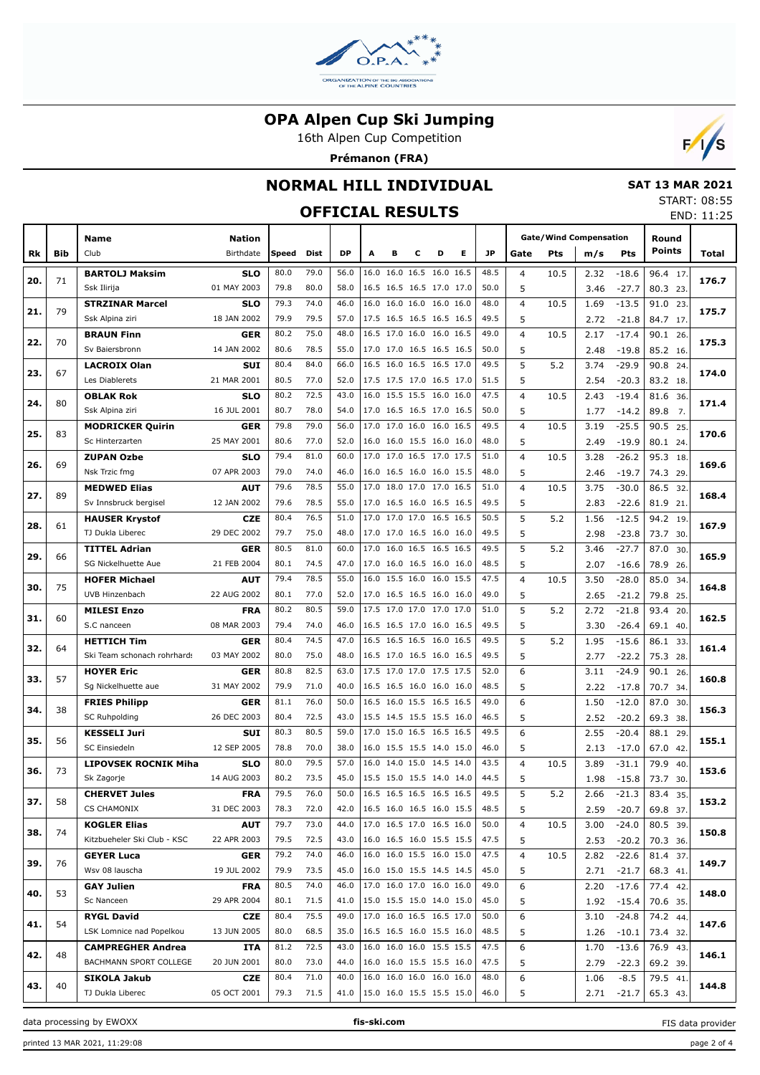

16th Alpen Cup Competition

**Prémanon (FRA)**



### **NORMAL HILL INDIVIDUAL**

### **OFFICIAL RESULTS**

 **SAT 13 MAR 2021** START: 08:55 END: 11:25

|     |     |                                     |                           |              |              |              |   |   |                                                      |   |   |              | END: II:25                   |      |                               |                    |                      |     |       |
|-----|-----|-------------------------------------|---------------------------|--------------|--------------|--------------|---|---|------------------------------------------------------|---|---|--------------|------------------------------|------|-------------------------------|--------------------|----------------------|-----|-------|
|     |     | Name                                | <b>Nation</b>             |              |              |              |   |   |                                                      |   |   |              |                              |      | <b>Gate/Wind Compensation</b> |                    | Round                |     |       |
| Rk  | Bib | Club                                | Birthdate                 | Speed        | Dist         | <b>DP</b>    | A | в | c                                                    | D | Е | <b>JP</b>    | Gate                         | Pts  | m/s                           | Pts                | <b>Points</b>        |     | Total |
|     |     | <b>BARTOLJ Maksim</b>               | <b>SLO</b>                | 80.0         | 79.0         | 56.0         |   |   | 16.0 16.0 16.5 16.0 16.5                             |   |   | 48.5         | $\overline{4}$               | 10.5 | 2.32                          | $-18.6$            | 96.4 17.             |     |       |
| 20. | 71  | Ssk Ilirija                         | 01 MAY 2003               | 79.8         | 80.0         | 58.0         |   |   | 16.5 16.5 16.5 17.0 17.0                             |   |   | 50.0         | 5                            |      | 3.46                          | $-27.7$            | 80.3 23.             |     | 176.7 |
|     |     | <b>STRZINAR Marcel</b>              | SLO                       | 79.3         | 74.0         | 46.0         |   |   | 16.0 16.0 16.0 16.0 16.0                             |   |   | 48.0         | $\overline{4}$               | 10.5 | 1.69                          | $-13.5$            | 91.0                 | 23. |       |
| 21. | 79  | Ssk Alpina ziri                     | 18 JAN 2002               | 79.9         | 79.5         | 57.0         |   |   | 17.5 16.5 16.5 16.5 16.5                             |   |   | 49.5         | 5                            |      | 2.72                          | $-21.8$            | 84.7 17.             |     | 175.7 |
|     |     | <b>BRAUN Finn</b>                   | <b>GER</b>                | 80.2         | 75.0         | 48.0         |   |   | 16.5 17.0 16.0 16.0 16.5                             |   |   | 49.0         | $\overline{4}$               | 10.5 | 2.17                          | $-17.4$            | 90.1                 | 26. |       |
| 22. | 70  | Sv Baiersbronn                      | 14 JAN 2002               | 80.6         | 78.5         | 55.0         |   |   | 17.0 17.0 16.5 16.5 16.5                             |   |   | 50.0         | 5                            |      | 2.48                          | $-19.8$            | 85.2 16.             |     | 175.3 |
|     |     | <b>LACROIX Olan</b>                 | <b>SUI</b>                | 80.4         | 84.0         | 66.0         |   |   | 16.5 16.0 16.5 16.5 17.0                             |   |   | 49.5         | 5                            | 5.2  | 3.74                          | $-29.9$            | 90.8                 | 24  |       |
| 23. | 67  | Les Diablerets                      | 21 MAR 2001               | 80.5         | 77.0         | 52.0         |   |   | 17.5 17.5 17.0 16.5 17.0                             |   |   | 51.5         | 5                            |      | 2.54                          | $-20.3$            | 83.2 18              |     | 174.0 |
|     |     | <b>OBLAK Rok</b>                    | SLO                       | 80.2         | 72.5         | 43.0         |   |   | 16.0 15.5 15.5 16.0 16.0                             |   |   | 47.5         | $\overline{4}$               | 10.5 | 2.43                          | $-19.4$            | 81.6                 | 36. |       |
| 24. | 80  | Ssk Alpina ziri                     | 16 JUL 2001               | 80.7         | 78.0         | 54.0         |   |   | 17.0 16.5 16.5 17.0 16.5                             |   |   | 50.0         | 5                            |      | 1.77                          | $-14.2$            | 89.8                 | 7.  | 171.4 |
|     |     | <b>MODRICKER Quirin</b>             | <b>GER</b>                | 79.8         | 79.0         | 56.0         |   |   | 17.0 17.0 16.0 16.0 16.5                             |   |   | 49.5         | $\overline{4}$               | 10.5 | 3.19                          | $-25.5$            | 90.5                 | 25  |       |
| 25. | 83  | Sc Hinterzarten                     | 25 MAY 2001               | 80.6         | 77.0         | 52.0         |   |   | 16.0 16.0 15.5 16.0 16.0                             |   |   | 48.0         | 5                            |      | 2.49                          | $-19.9$            | 80.1 24              |     | 170.6 |
|     |     | <b>ZUPAN Ozbe</b>                   | SLO                       | 79.4         | 81.0         | 60.0         |   |   | 17.0 17.0 16.5 17.0 17.5                             |   |   | 51.0         | $\overline{4}$               | 10.5 | 3.28                          | $-26.2$            | 95.3                 | 18  |       |
| 26. | 69  | Nsk Trzic fmg                       | 07 APR 2003               | 79.0         | 74.0         | 46.0         |   |   | 16.0 16.5 16.0 16.0 15.5                             |   |   | 48.0         | 5                            |      | 2.46                          | $-19.7$            | 74.3 29              |     | 169.6 |
|     |     | <b>MEDWED Elias</b>                 | AUT                       | 79.6         | 78.5         | 55.0         |   |   | 17.0 18.0 17.0 17.0 16.5                             |   |   | 51.0         | $\overline{4}$               | 10.5 | 3.75                          | $-30.0$            | 86.5                 | 32  | 168.4 |
| 27. | 89  | Sv Innsbruck bergisel               | 12 JAN 2002               | 79.6         | 78.5         | 55.0         |   |   | 17.0 16.5 16.0 16.5 16.5                             |   |   | 49.5         | 5                            |      | 2.83                          | $-22.6$            | 81.9 21              |     |       |
| 28. | 61  | <b>HAUSER Krystof</b>               | <b>CZE</b>                | 80.4         | 76.5         | 51.0         |   |   | 17.0 17.0 17.0 16.5 16.5                             |   |   | 50.5         | 5                            | 5.2  | 1.56                          | $-12.5$            | 94.2                 | 19  | 167.9 |
|     |     | TJ Dukla Liberec                    | 29 DEC 2002               | 79.7         | 75.0         | 48.0         |   |   | 17.0 17.0 16.5 16.0 16.0                             |   |   | 49.5         | 5                            |      | 2.98                          | $-23.8$            | 73.7 30.             |     |       |
| 29. | 66  | <b>TITTEL Adrian</b>                | <b>GER</b>                | 80.5         | 81.0         | 60.0         |   |   | 17.0 16.0 16.5 16.5 16.5                             |   |   | 49.5         | 5                            | 5.2  | 3.46                          | $-27.7$            | 87.0                 | 30  | 165.9 |
|     |     | SG Nickelhuette Aue                 | 21 FEB 2004               | 80.1         | 74.5         | 47.0         |   |   | 17.0 16.0 16.5 16.0 16.0                             |   |   | 48.5         | 5                            |      | 2.07                          | $-16.6$            | 78.9 26.             |     |       |
| 30. | 75  | <b>HOFER Michael</b>                | AUT                       | 79.4         | 78.5         | 55.0         |   |   | 16.0 15.5 16.0 16.0 15.5                             |   |   | 47.5         | $\overline{4}$               | 10.5 | 3.50                          | $-28.0$            | 85.0                 | 34  | 164.8 |
|     |     | UVB Hinzenbach                      | 22 AUG 2002               | 80.1         | 77.0         | 52.0         |   |   | 17.0 16.5 16.5 16.0 16.0                             |   |   | 49.0         | 5                            |      | 2.65                          | $-21.2$            | 79.8 25.             |     |       |
| 31. | 60  | <b>MILESI Enzo</b>                  | <b>FRA</b>                | 80.2         | 80.5         | 59.0         |   |   | 17.5 17.0 17.0 17.0 17.0                             |   |   | 51.0         | 5                            | 5.2  | 2.72                          | $-21.8$            | 93.4                 | 20  | 162.5 |
|     |     | S.C nanceen                         | 08 MAR 2003               | 79.4         | 74.0         | 46.0         |   |   | 16.5 16.5 17.0 16.0 16.5                             |   |   | 49.5         | 5                            |      | 3.30                          | $-26.4$            | 69.1 40.             |     |       |
| 32. | 64  | <b>HETTICH Tim</b>                  | <b>GER</b>                | 80.4         | 74.5         | 47.0         |   |   | 16.5 16.5 16.5 16.0 16.5                             |   |   | 49.5         | 5                            | 5.2  | 1.95                          | $-15.6$            | 86.1                 | 33  | 161.4 |
|     |     | Ski Team schonach rohrhards         | 03 MAY 2002               | 80.0         | 75.0         | 48.0         |   |   | 16.5 17.0 16.5 16.0 16.5                             |   |   | 49.5         | 5                            |      | 2.77                          | $-22.2$            | 75.3 28.             |     |       |
| 33. | 57  | <b>HOYER Eric</b>                   | <b>GER</b>                | 80.8         | 82.5         | 63.0         |   |   | 17.5 17.0 17.0 17.5 17.5                             |   |   | 52.0         | 6                            |      | 3.11                          | $-24.9$            | 90.1                 | 26. | 160.8 |
|     |     | Sg Nickelhuette aue                 | 31 MAY 2002               | 79.9         | 71.0         | 40.0         |   |   | 16.5 16.5 16.0 16.0 16.0                             |   |   | 48.5         | 5                            |      | 2.22                          | $-17.8$            | 70.7 34.             |     |       |
| 34. | 38  | <b>FRIES Philipp</b>                | <b>GER</b>                | 81.1         | 76.0         | 50.0         |   |   | 16.5 16.0 15.5 16.5 16.5                             |   |   | 49.0         | 6                            |      | 1.50                          | $-12.0$            | 87.0                 | 30  | 156.3 |
|     |     | <b>SC Ruhpolding</b>                | 26 DEC 2003               | 80.4         | 72.5         | 43.0         |   |   | 15.5 14.5 15.5 15.5 16.0                             |   |   | 46.5         | 5                            |      | 2.52                          | $-20.2$            | 69.3 38.             |     |       |
| 35. | 56  | <b>KESSELI Juri</b>                 | <b>SUI</b>                | 80.3         | 80.5         | 59.0         |   |   | 17.0 15.0 16.5 16.5 16.5                             |   |   | 49.5         | 6                            |      | 2.55                          | $-20.4$            | 88.1                 | 29  | 155.1 |
|     |     | <b>SC Einsiedeln</b>                | 12 SEP 2005               | 78.8         | 70.0         | 38.0         |   |   | 16.0 15.5 15.5 14.0 15.0                             |   |   | 46.0         | 5<br>$\overline{\mathbf{4}}$ |      | 2.13                          | $-17.0$            | 67.0 42.             |     |       |
| 36. | 73  | <b>LIPOVSEK ROCNIK Miha</b>         | <b>SLO</b><br>14 AUG 2003 | 80.0<br>80.2 | 79.5<br>73.5 | 57.0<br>45.0 |   |   | 16.0 14.0 15.0 14.5 14.0<br>15.5 15.0 15.5 14.0 14.0 |   |   | 43.5<br>44.5 | 5                            | 10.5 | 3.89                          | $-31.1$            | 79.9<br>73.7 30.     | 40  | 153.6 |
|     |     | Sk Zagorje                          |                           | 79.5         | 76.0         | 50.0         |   |   | 16.5 16.5 16.5 16.5 16.5                             |   |   | 49.5         |                              |      | 1.98                          | $-15.8$            |                      |     |       |
| 37. | 58  | <b>CHERVET Jules</b><br>CS CHAMONIX | <b>FRA</b><br>31 DEC 2003 | 78.3         | 72.0         | 42.0         |   |   | 16.5 16.0 16.5 16.0 15.5                             |   |   | 48.5         | 5<br>5                       | 5.2  | 2.66<br>2.59                  | $-21.3$            | 83.4 35.<br>69.8 37. |     | 153.2 |
|     |     | <b>KOGLER Elias</b>                 | <b>AUT</b>                | 79.7         | 73.0         | 44.0         |   |   | 17.0 16.5 17.0 16.5 16.0                             |   |   | 50.0         | 4                            | 10.5 | 3.00                          | $-20.7$<br>$-24.0$ | 80.5 39.             |     |       |
| 38. | 74  | Kitzbueheler Ski Club - KSC         | 22 APR 2003               | 79.5         | 72.5         | 43.0         |   |   | 16.0 16.5 16.0 15.5 15.5                             |   |   | 47.5         | 5                            |      | 2.53                          | $-20.2$            | 70.3 36.             |     | 150.8 |
|     |     | <b>GEYER Luca</b>                   | <b>GER</b>                | 79.2         | 74.0         | 46.0         |   |   | 16.0 16.0 15.5 16.0 15.0                             |   |   | 47.5         | 4                            | 10.5 | 2.82                          | $-22.6$            | 81.4 37.             |     |       |
| 39. | 76  | Wsv 08 lauscha                      | 19 JUL 2002               | 79.9         | 73.5         | 45.0         |   |   | 16.0 15.0 15.5 14.5 14.5                             |   |   | 45.0         | 5                            |      | 2.71                          | $-21.7$            | 68.3 41              |     | 149.7 |
|     |     | <b>GAY Julien</b>                   | FRA                       | 80.5         | 74.0         | 46.0         |   |   | 17.0 16.0 17.0 16.0 16.0                             |   |   | 49.0         | 6                            |      | 2.20                          | $-17.6$            | 77.4 42.             |     |       |
| 40. | 53  | Sc Nanceen                          | 29 APR 2004               | 80.1         | 71.5         | 41.0         |   |   | 15.0 15.5 15.0 14.0 15.0                             |   |   | 45.0         | 5                            |      | 1.92                          | $-15.4$            | 70.6 35.             |     | 148.0 |
|     |     | <b>RYGL David</b>                   | <b>CZE</b>                | 80.4         | 75.5         | 49.0         |   |   | 17.0 16.0 16.5 16.5 17.0                             |   |   | 50.0         | 6                            |      | 3.10                          | $-24.8$            | 74.2 44.             |     |       |
| 41. | 54  | LSK Lomnice nad Popelkou            | 13 JUN 2005               | 80.0         | 68.5         | 35.0         |   |   | 16.5 16.5 16.0 15.5 16.0                             |   |   | 48.5         | 5                            |      | 1.26                          | $-10.1$            | 73.4 32.             |     | 147.6 |
|     |     | <b>CAMPREGHER Andrea</b>            | ITA                       | 81.2         | 72.5         | 43.0         |   |   | 16.0 16.0 16.0 15.5 15.5                             |   |   | 47.5         | 6                            |      | 1.70                          | $-13.6$            | 76.9 43.             |     |       |
| 42. | 48  | BACHMANN SPORT COLLEGE              | 20 JUN 2001               | 80.0         | 73.0         | 44.0         |   |   | 16.0 16.0 15.5 15.5 16.0                             |   |   | 47.5         | 5                            |      | 2.79                          | $-22.3$            | 69.2 39.             |     | 146.1 |
|     |     | SIKOLA Jakub                        | <b>CZE</b>                | 80.4         | 71.0         | 40.0         |   |   | 16.0 16.0 16.0 16.0 16.0                             |   |   | 48.0         | 6                            |      | 1.06                          | $-8.5$             | 79.5 41.             |     |       |
| 43. | 40  | TJ Dukla Liberec                    | 05 OCT 2001               | 79.3         | 71.5         | 41.0         |   |   | 15.0 16.0 15.5 15.5 15.0                             |   |   | 46.0         | 5                            |      | 2.71                          | $-21.7$            | 65.3 43.             |     | 144.8 |

data processing by EWOXX **fis-ski.com**

FIS data provider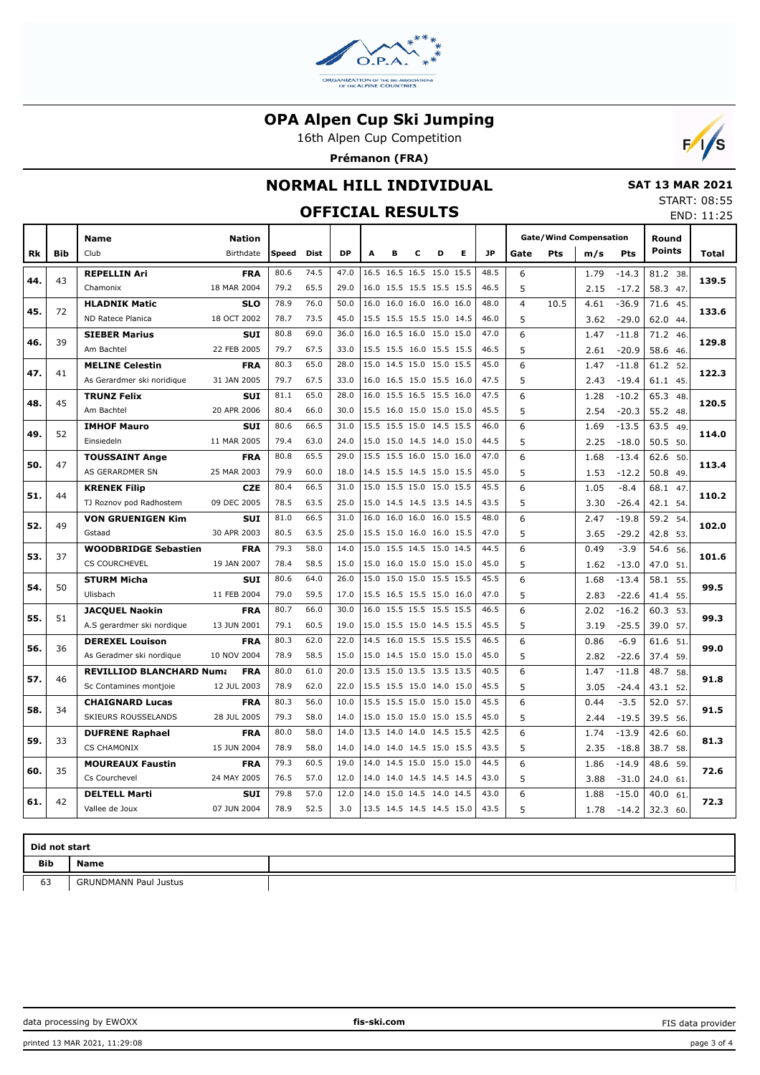

16th Alpen Cup Competition

**Prémanon (FRA)**



### **NORMAL HILL INDIVIDUAL**

## **OFFICIAL RESULTS**

 **SAT 13 MAR 2021** START: 08:55

|     |            | UFFILIAL KESULIS                         |                           |              |              |              |      |   |                                                      |   |   |              |                |            |                               |                    | END: 11:25    |          |       |
|-----|------------|------------------------------------------|---------------------------|--------------|--------------|--------------|------|---|------------------------------------------------------|---|---|--------------|----------------|------------|-------------------------------|--------------------|---------------|----------|-------|
|     |            | <b>Name</b>                              | <b>Nation</b>             |              |              |              |      |   |                                                      |   |   |              |                |            | <b>Gate/Wind Compensation</b> |                    | Round         |          |       |
| Rk  | <b>Bib</b> | Club                                     | Birthdate                 | Speed        | Dist         | <b>DP</b>    | A    | в | c                                                    | D | Е | JP.          | Gate           | <b>Pts</b> | m/s                           | Pts                | <b>Points</b> |          | Total |
|     |            | <b>REPELLIN Ari</b>                      | <b>FRA</b>                | 80.6         | 74.5         | 47.0         |      |   | 16.5 16.5 16.5 15.0 15.5                             |   |   | 48.5         | 6              |            | 1.79                          | $-14.3$            | 81.2 38.      |          |       |
| 44. | 43         | Chamonix                                 | 18 MAR 2004               | 79.2         | 65.5         | 29.0         |      |   | 16.0 15.5 15.5 15.5 15.5                             |   |   | 46.5         | 5              |            | 2.15                          | $-17.2$            | 58.3 47.      |          | 139.5 |
| 45. | 72         | <b>HLADNIK Matic</b>                     | <b>SLO</b>                | 78.9         | 76.0         | 50.0         |      |   | 16.0 16.0 16.0 16.0 16.0                             |   |   | 48.0         | $\overline{4}$ | 10.5       | 4.61                          | $-36.9$            | 71.6          | 45       | 133.6 |
|     |            | ND Ratece Planica                        | 18 OCT 2002               | 78.7         | 73.5         | 45.0         |      |   | 15.5 15.5 15.5 15.0 14.5                             |   |   | 46.0         | 5              |            | 3.62                          | $-29.0$            | 62.0 44.      |          |       |
| 46. | 39         | <b>SIEBER Marius</b>                     | <b>SUI</b>                | 80.8         | 69.0         | 36.0         |      |   | 16.0 16.5 16.0 15.0 15.0                             |   |   | 47.0         | 6              |            | 1.47                          | $-11.8$            | 71.2 46.      |          | 129.8 |
|     |            | Am Bachtel                               | 22 FEB 2005               | 79.7         | 67.5         | 33.0         |      |   | 15.5 15.5 16.0 15.5 15.5                             |   |   | 46.5         | 5              |            | 2.61                          | $-20.9$            | 58.6 46.      |          |       |
| 47. | 41         | <b>MELINE Celestin</b>                   | <b>FRA</b>                | 80.3         | 65.0         | 28.0         |      |   | 15.0 14.5 15.0 15.0 15.5                             |   |   | 45.0         | 6              |            | 1.47                          | $-11.8$            | 61.2 52       |          | 122.3 |
|     |            | As Gerardmer ski noridique               | 31 JAN 2005               | 79.7         | 67.5         | 33.0         |      |   | 16.0 16.5 15.0 15.5 16.0                             |   |   | 47.5         | 5              |            | 2.43                          | $-19.4$            | 61.1 45.      |          |       |
| 48. | 45         | <b>TRUNZ Felix</b>                       | <b>SUI</b>                | 81.1         | 65.0         | 28.0         |      |   | 16.0 15.5 16.5 15.5 16.0                             |   |   | 47.5         | 6              |            | 1.28                          | $-10.2$            | 65.3          | -48.     | 120.5 |
|     |            | Am Bachtel                               | 20 APR 2006               | 80.4         | 66.0         | 30.0         |      |   | 15.5 16.0 15.0 15.0 15.0                             |   |   | 45.5         | 5              |            | 2.54                          | $-20.3$            | 55.2 48.      |          |       |
| 49. | 52         | <b>IMHOF Mauro</b>                       | <b>SUI</b>                | 80.6         | 66.5         | 31.0         |      |   | 15.5 15.5 15.0 14.5 15.5                             |   |   | 46.0         | 6              |            | 1.69                          | $-13.5$            | 63.5          | -49.     | 114.0 |
|     |            | Einsiedeln                               | 11 MAR 2005               | 79.4         | 63.0         | 24.0         |      |   | 15.0 15.0 14.5 14.0 15.0                             |   |   | 44.5         | 5              |            | 2.25                          | $-18.0$            | 50.5 50.      |          |       |
| 50. | 47         | <b>TOUSSAINT Ange</b>                    | <b>FRA</b>                | 80.8         | 65.5         | 29.0         |      |   | 15.5 15.5 16.0 15.0 16.0                             |   |   | 47.0         | 6              |            | 1.68                          | $-13.4$            | 62.6          | 50.      | 113.4 |
|     |            | AS GERARDMER SN                          | 25 MAR 2003               | 79.9         | 60.0         | 18.0         |      |   | 14.5 15.5 14.5 15.0 15.5                             |   |   | 45.0         | 5              |            | 1.53                          | $-12.2$            | 50.8 49       |          |       |
| 51. | 44         | <b>KRENEK Filip</b>                      | <b>CZE</b>                | 80.4         | 66.5         | 31.0         |      |   | 15.0 15.5 15.0 15.0 15.5                             |   |   | 45.5         | 6              |            | 1.05                          | $-8.4$             | 68.1          | 47       | 110.2 |
|     |            | TJ Roznov pod Radhostem                  | 09 DEC 2005               | 78.5         | 63.5         | 25.0         |      |   | 15.0 14.5 14.5 13.5 14.5                             |   |   | 43.5         | 5              |            | 3.30                          | $-26.4$            | 42.1 54.      |          |       |
| 52. | 49         | <b>VON GRUENIGEN Kim</b>                 | <b>SUI</b>                | 81.0         | 66.5         | 31.0         |      |   | 16.0 16.0 16.0 16.0 15.5                             |   |   | 48.0         | 6              |            | 2.47                          | $-19.8$            | 59.2 54       |          | 102.0 |
|     |            | Gstaad                                   | 30 APR 2003               | 80.5         | 63.5         | 25.0         |      |   | 15.5 15.0 16.0 16.0 15.5                             |   |   | 47.0         | 5              |            | 3.65                          | $-29.2$            | 42.8          | 53.      |       |
| 53. | 37         | <b>WOODBRIDGE Sebastien</b>              | <b>FRA</b>                | 79.3         | 58.0         | 14.0         | 15.0 |   | 15.5 14.5 15.0 14.5                                  |   |   | 44.5         | 6              |            | 0.49                          | $-3.9$             | 54.6          | 56       | 101.6 |
|     |            | <b>CS COURCHEVEL</b>                     | 19 JAN 2007               | 78.4         | 58.5         | 15.0         |      |   | 15.0 16.0 15.0 15.0 15.0                             |   |   | 45.0         | 5              |            | 1.62                          | $-13.0$            | 47.0          | 51.      |       |
| 54. | 50         | <b>STURM Micha</b>                       | <b>SUI</b>                | 80.6         | 64.0         | 26.0         |      |   | 15.0 15.0 15.0 15.5 15.5                             |   |   | 45.5         | 6              |            | 1.68                          | $-13.4$            | 58.1          | 55       | 99.5  |
|     |            | Ulisbach                                 | 11 FEB 2004               | 79.0         | 59.5         | 17.0         |      |   | 15.5 16.5 15.5 15.0 16.0                             |   |   | 47.0         | 5              |            | 2.83                          | $-22.6$            | 41.4          | 55.      |       |
| 55. | 51         | <b>JACQUEL Naokin</b>                    | <b>FRA</b>                | 80.7         | 66.0         | 30.0         |      |   | 16.0 15.5 15.5 15.5 15.5                             |   |   | 46.5         | 6              |            | 2.02                          | $-16.2$            | 60.3          | 53.      | 99.3  |
|     |            | A.S gerardmer ski nordique               | 13 JUN 2001               | 79.1         | 60.5         | 19.0         |      |   | 15.0 15.5 15.0 14.5 15.5                             |   |   | 45.5         | 5              |            | 3.19                          | $-25.5$            | 39.0 57.      |          |       |
| 56. | 36         | <b>DEREXEL Louison</b>                   | <b>FRA</b>                | 80.3         | 62.0         | 22.0         |      |   | 14.5 16.0 15.5 15.5 15.5                             |   |   | 46.5         | 6              |            | 0.86                          | $-6.9$             | 61.6          | 51       | 99.0  |
|     |            | As Geradmer ski nordigue                 | 10 NOV 2004               | 78.9         | 58.5         | 15.0         |      |   | 15.0 14.5 15.0 15.0 15.0                             |   |   | 45.0         | 5              |            | 2.82                          | $-22.6$            | 37.4          | 59.      |       |
| 57. | 46         | <b>REVILLIOD BLANCHARD Numa</b>          | <b>FRA</b>                | 80.0         | 61.0         | 20.0         |      |   | 13.5 15.0 13.5 13.5 13.5                             |   |   | 40.5         | 6              |            | 1.47                          | $-11.8$            | 48.7          | 58       | 91.8  |
|     |            | Sc Contamines montjoie                   | 12 JUL 2003               | 78.9         | 62.0         | 22.0         |      |   | 15.5 15.5 15.0 14.0 15.0                             |   |   | 45.5         | 5              |            | 3.05                          | $-24.4$            | 43.1 52.      |          |       |
| 58. | 34         | <b>CHAIGNARD Lucas</b>                   | <b>FRA</b>                | 80.3         | 56.0         | 10.0         |      |   | 15.5 15.5 15.0 15.0 15.0                             |   |   | 45.5         | 6              |            | 0.44                          | $-3.5$             | 52.0          | 57       | 91.5  |
|     |            | SKIEURS ROUSSELANDS                      | 28 JUL 2005               | 79.3<br>80.0 | 58.0<br>58.0 | 14.0<br>14.0 |      |   | 15.0 15.0 15.0 15.0 15.5<br>13.5 14.0 14.0 14.5 15.5 |   |   | 45.0<br>42.5 | 5              |            | 2.44                          | $-19.5$            | 39.5 56.      |          |       |
| 59. | 33         | <b>DUFRENE Raphael</b>                   | <b>FRA</b>                |              |              |              |      |   |                                                      |   |   |              | 6              |            | 1.74                          | $-13.9$            | 42.6          | 60       | 81.3  |
|     |            | <b>CS CHAMONIX</b>                       | 15 JUN 2004               | 78.9<br>79.3 | 58.0<br>60.5 | 14.0<br>19.0 |      |   | 14.0 14.0 14.5 15.0 15.5<br>14.0 14.5 15.0 15.0 15.0 |   |   | 43.5<br>44.5 | 5<br>6         |            | 2.35                          | $-18.8$            | 38.7 58.      |          |       |
| 60. | 35         | <b>MOUREAUX Faustin</b><br>Cs Courchevel | <b>FRA</b><br>24 MAY 2005 | 76.5         | 57.0         | 12.0         |      |   | 14.0 14.0 14.5 14.5 14.5                             |   |   | 43.0         | 5              |            | 1.86<br>3.88                  | $-14.9$<br>$-31.0$ | 48.6<br>24.0  | 59.      | 72.6  |
|     |            | <b>DELTELL Marti</b>                     | <b>SUI</b>                | 79.8         | 57.0         | 12.0         |      |   | 14.0 15.0 14.5 14.0 14.5                             |   |   | 43.0         | 6              |            | 1.88                          | $-15.0$            | 40.0          | 61<br>61 |       |
| 61. | 42         | Vallee de Joux                           | 07 JUN 2004               | 78.9         | 52.5         | 3.0          |      |   | 13.5 14.5 14.5 14.5 15.0                             |   |   | 43.5         | 5              |            | 1.78                          | $-14.2$            | 32.3 60.      |          | 72.3  |
|     |            |                                          |                           |              |              |              |      |   |                                                      |   |   |              |                |            |                               |                    |               |          |       |

| Did not start |                              |  |  |  |  |  |  |  |  |  |  |  |
|---------------|------------------------------|--|--|--|--|--|--|--|--|--|--|--|
| Bib           | <b>Name</b>                  |  |  |  |  |  |  |  |  |  |  |  |
| 63            | <b>GRUNDMANN Paul Justus</b> |  |  |  |  |  |  |  |  |  |  |  |